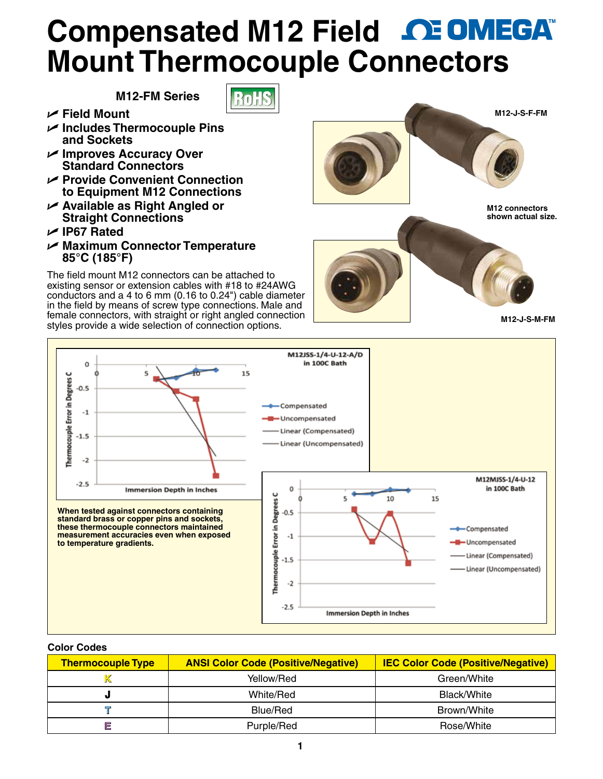## **Compensated M12 Field Mount Thermocouple Co[nnectors](www.omega.com)**

 $\sqrt{1}$ 

**M12-FM Series**

- U **Field Mount**
- U **Includes Thermocouple Pins and Sockets**
- U **Improves Accuracy Over Standard Connectors**
- U **Provide Convenient Connection to Equipment M12 Connections**
- U **Available as Right Angled or Straight Connections**
- U **IP67 Rated**
- U **Maximum Connector Temperature 85°C (185°F)**

The field mount M12 connectors can be attached to existing sensor or extension cables with #18 to #24AWG conductors and a 4 to 6 mm (0.16 to 0.24") cable diameter in the field by means of screw type connections. Male and female connectors, with straight or right angled connection styles provide a wide selection of connection options.



**M12 connectors shown actual size.**



**M12-J-S-M-FM**



## **Color Codes**

| <b>Thermocouple Type</b> | <b>ANSI Color Code (Positive/Negative)</b> | <b>IEC Color Code (Positive/Negative)</b> |
|--------------------------|--------------------------------------------|-------------------------------------------|
|                          | Yellow/Red                                 | Green/White                               |
| o.                       | White/Red                                  | Black/White                               |
|                          | Blue/Red                                   | Brown/White                               |
| 巨                        | Purple/Red                                 | Rose/White                                |